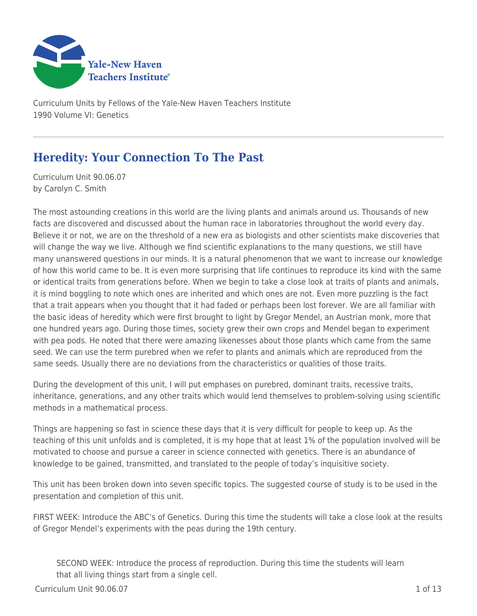

Curriculum Units by Fellows of the Yale-New Haven Teachers Institute 1990 Volume VI: Genetics

# **Heredity: Your Connection To The Past**

Curriculum Unit 90.06.07 by Carolyn C. Smith

The most astounding creations in this world are the living plants and animals around us. Thousands of new facts are discovered and discussed about the human race in laboratories throughout the world every day. Believe it or not, we are on the threshold of a new era as biologists and other scientists make discoveries that will change the way we live. Although we find scientific explanations to the many questions, we still have many unanswered questions in our minds. It is a natural phenomenon that we want to increase our knowledge of how this world came to be. It is even more surprising that life continues to reproduce its kind with the same or identical traits from generations before. When we begin to take a close look at traits of plants and animals, it is mind boggling to note which ones are inherited and which ones are not. Even more puzzling is the fact that a trait appears when you thought that it had faded or perhaps been lost forever. We are all familiar with the basic ideas of heredity which were first brought to light by Gregor Mendel, an Austrian monk, more that one hundred years ago. During those times, society grew their own crops and Mendel began to experiment with pea pods. He noted that there were amazing likenesses about those plants which came from the same seed. We can use the term purebred when we refer to plants and animals which are reproduced from the same seeds. Usually there are no deviations from the characteristics or qualities of those traits.

During the development of this unit, I will put emphases on purebred, dominant traits, recessive traits, inheritance, generations, and any other traits which would lend themselves to problem-solving using scientific methods in a mathematical process.

Things are happening so fast in science these days that it is very difficult for people to keep up. As the teaching of this unit unfolds and is completed, it is my hope that at least 1% of the population involved will be motivated to choose and pursue a career in science connected with genetics. There is an abundance of knowledge to be gained, transmitted, and translated to the people of today's inquisitive society.

This unit has been broken down into seven specific topics. The suggested course of study is to be used in the presentation and completion of this unit.

FIRST WEEK: Introduce the ABC's of Genetics. During this time the students will take a close look at the results of Gregor Mendel's experiments with the peas during the 19th century.

SECOND WEEK: Introduce the process of reproduction. During this time the students will learn that all living things start from a single cell.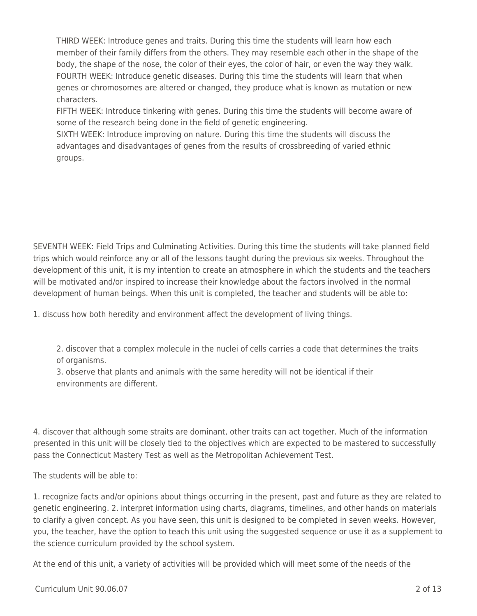THIRD WEEK: Introduce genes and traits. During this time the students will learn how each member of their family differs from the others. They may resemble each other in the shape of the body, the shape of the nose, the color of their eyes, the color of hair, or even the way they walk. FOURTH WEEK: Introduce genetic diseases. During this time the students will learn that when genes or chromosomes are altered or changed, they produce what is known as mutation or new characters.

FIFTH WEEK: Introduce tinkering with genes. During this time the students will become aware of some of the research being done in the field of genetic engineering.

SIXTH WEEK: Introduce improving on nature. During this time the students will discuss the advantages and disadvantages of genes from the results of crossbreeding of varied ethnic groups.

SEVENTH WEEK: Field Trips and Culminating Activities. During this time the students will take planned field trips which would reinforce any or all of the lessons taught during the previous six weeks. Throughout the development of this unit, it is my intention to create an atmosphere in which the students and the teachers will be motivated and/or inspired to increase their knowledge about the factors involved in the normal development of human beings. When this unit is completed, the teacher and students will be able to:

1. discuss how both heredity and environment affect the development of living things.

2. discover that a complex molecule in the nuclei of cells carries a code that determines the traits of organisms.

3. observe that plants and animals with the same heredity will not be identical if their environments are different.

4. discover that although some straits are dominant, other traits can act together. Much of the information presented in this unit will be closely tied to the objectives which are expected to be mastered to successfully pass the Connecticut Mastery Test as well as the Metropolitan Achievement Test.

The students will be able to:

1. recognize facts and/or opinions about things occurring in the present, past and future as they are related to genetic engineering. 2. interpret information using charts, diagrams, timelines, and other hands on materials to clarify a given concept. As you have seen, this unit is designed to be completed in seven weeks. However, you, the teacher, have the option to teach this unit using the suggested sequence or use it as a supplement to the science curriculum provided by the school system.

At the end of this unit, a variety of activities will be provided which will meet some of the needs of the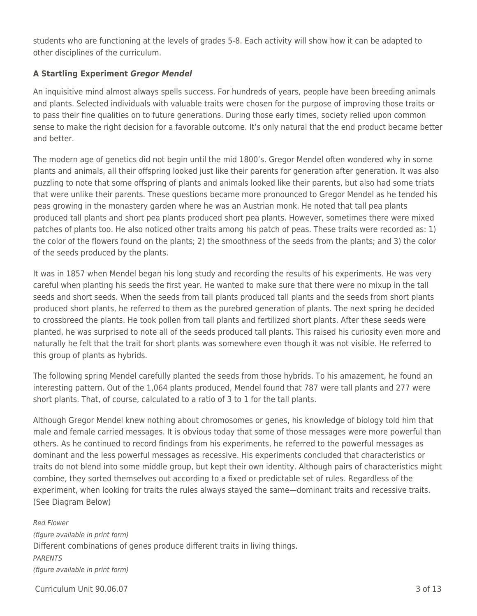students who are functioning at the levels of grades 5-8. Each activity will show how it can be adapted to other disciplines of the curriculum.

## **A Startling Experiment** *Gregor Mendel*

An inquisitive mind almost always spells success. For hundreds of years, people have been breeding animals and plants. Selected individuals with valuable traits were chosen for the purpose of improving those traits or to pass their fine qualities on to future generations. During those early times, society relied upon common sense to make the right decision for a favorable outcome. It's only natural that the end product became better and better.

The modern age of genetics did not begin until the mid 1800's. Gregor Mendel often wondered why in some plants and animals, all their offspring looked just like their parents for generation after generation. It was also puzzling to note that some offspring of plants and animals looked like their parents, but also had some triats that were unlike their parents. These questions became more pronounced to Gregor Mendel as he tended his peas growing in the monastery garden where he was an Austrian monk. He noted that tall pea plants produced tall plants and short pea plants produced short pea plants. However, sometimes there were mixed patches of plants too. He also noticed other traits among his patch of peas. These traits were recorded as: 1) the color of the flowers found on the plants; 2) the smoothness of the seeds from the plants; and 3) the color of the seeds produced by the plants.

It was in 1857 when Mendel began his long study and recording the results of his experiments. He was very careful when planting his seeds the first year. He wanted to make sure that there were no mixup in the tall seeds and short seeds. When the seeds from tall plants produced tall plants and the seeds from short plants produced short plants, he referred to them as the purebred generation of plants. The next spring he decided to crossbreed the plants. He took pollen from tall plants and fertilized short plants. After these seeds were planted, he was surprised to note all of the seeds produced tall plants. This raised his curiosity even more and naturally he felt that the trait for short plants was somewhere even though it was not visible. He referred to this group of plants as hybrids.

The following spring Mendel carefully planted the seeds from those hybrids. To his amazement, he found an interesting pattern. Out of the 1,064 plants produced, Mendel found that 787 were tall plants and 277 were short plants. That, of course, calculated to a ratio of 3 to 1 for the tall plants.

Although Gregor Mendel knew nothing about chromosomes or genes, his knowledge of biology told him that male and female carried messages. It is obvious today that some of those messages were more powerful than others. As he continued to record findings from his experiments, he referred to the powerful messages as dominant and the less powerful messages as recessive. His experiments concluded that characteristics or traits do not blend into some middle group, but kept their own identity. Although pairs of characteristics might combine, they sorted themselves out according to a fixed or predictable set of rules. Regardless of the experiment, when looking for traits the rules always stayed the same—dominant traits and recessive traits. (See Diagram Below)

Red Flower (figure available in print form) Different combinations of genes produce different traits in living things. PARENTS (figure available in print form)

 $C$ urriculum Unit 90.06.07  $\qquad$  3 of 13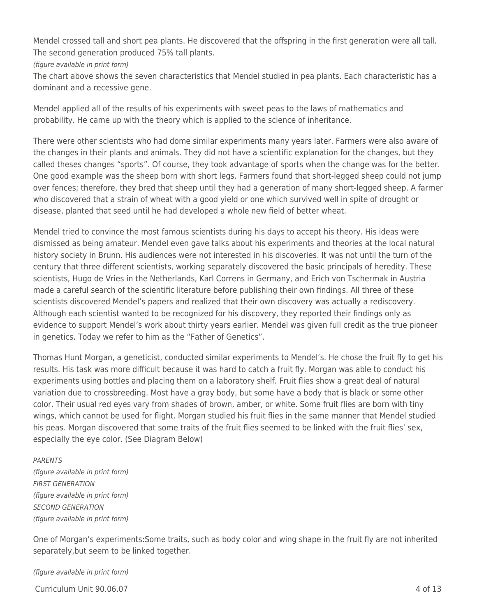Mendel crossed tall and short pea plants. He discovered that the offspring in the first generation were all tall. The second generation produced 75% tall plants.

(figure available in print form)

The chart above shows the seven characteristics that Mendel studied in pea plants. Each characteristic has a dominant and a recessive gene.

Mendel applied all of the results of his experiments with sweet peas to the laws of mathematics and probability. He came up with the theory which is applied to the science of inheritance.

There were other scientists who had dome similar experiments many years later. Farmers were also aware of the changes in their plants and animals. They did not have a scientific explanation for the changes, but they called theses changes "sports". Of course, they took advantage of sports when the change was for the better. One good example was the sheep born with short legs. Farmers found that short-legged sheep could not jump over fences; therefore, they bred that sheep until they had a generation of many short-legged sheep. A farmer who discovered that a strain of wheat with a good yield or one which survived well in spite of drought or disease, planted that seed until he had developed a whole new field of better wheat.

Mendel tried to convince the most famous scientists during his days to accept his theory. His ideas were dismissed as being amateur. Mendel even gave talks about his experiments and theories at the local natural history society in Brunn. His audiences were not interested in his discoveries. It was not until the turn of the century that three different scientists, working separately discovered the basic principals of heredity. These scientists, Hugo de Vries in the Netherlands, Karl Correns in Germany, and Erich von Tschermak in Austria made a careful search of the scientific literature before publishing their own findings. All three of these scientists discovered Mendel's papers and realized that their own discovery was actually a rediscovery. Although each scientist wanted to be recognized for his discovery, they reported their findings only as evidence to support Mendel's work about thirty years earlier. Mendel was given full credit as the true pioneer in genetics. Today we refer to him as the "Father of Genetics".

Thomas Hunt Morgan, a geneticist, conducted similar experiments to Mendel's. He chose the fruit fly to get his results. His task was more difficult because it was hard to catch a fruit fly. Morgan was able to conduct his experiments using bottles and placing them on a laboratory shelf. Fruit flies show a great deal of natural variation due to crossbreeding. Most have a gray body, but some have a body that is black or some other color. Their usual red eyes vary from shades of brown, amber, or white. Some fruit flies are born with tiny wings, which cannot be used for flight. Morgan studied his fruit flies in the same manner that Mendel studied his peas. Morgan discovered that some traits of the fruit flies seemed to be linked with the fruit flies' sex, especially the eye color. (See Diagram Below)

#### PARENTS

(figure available in print form) FIRST GENERATION (figure available in print form) SECOND GENERATION (figure available in print form)

One of Morgan's experiments:Some traits, such as body color and wing shape in the fruit fly are not inherited separately,but seem to be linked together.

(figure available in print form)

Curriculum Unit 90.06.07 4 of 13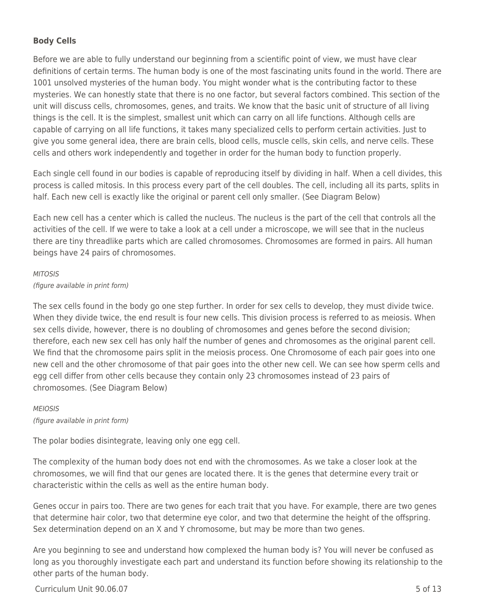## **Body Cells**

Before we are able to fully understand our beginning from a scientific point of view, we must have clear definitions of certain terms. The human body is one of the most fascinating units found in the world. There are 1001 unsolved mysteries of the human body. You might wonder what is the contributing factor to these mysteries. We can honestly state that there is no one factor, but several factors combined. This section of the unit will discuss cells, chromosomes, genes, and traits. We know that the basic unit of structure of all living things is the cell. It is the simplest, smallest unit which can carry on all life functions. Although cells are capable of carrying on all life functions, it takes many specialized cells to perform certain activities. Just to give you some general idea, there are brain cells, blood cells, muscle cells, skin cells, and nerve cells. These cells and others work independently and together in order for the human body to function properly.

Each single cell found in our bodies is capable of reproducing itself by dividing in half. When a cell divides, this process is called mitosis. In this process every part of the cell doubles. The cell, including all its parts, splits in half. Each new cell is exactly like the original or parent cell only smaller. (See Diagram Below)

Each new cell has a center which is called the nucleus. The nucleus is the part of the cell that controls all the activities of the cell. If we were to take a look at a cell under a microscope, we will see that in the nucleus there are tiny threadlike parts which are called chromosomes. Chromosomes are formed in pairs. All human beings have 24 pairs of chromosomes.

#### **MITOSIS**

#### (figure available in print form)

The sex cells found in the body go one step further. In order for sex cells to develop, they must divide twice. When they divide twice, the end result is four new cells. This division process is referred to as meiosis. When sex cells divide, however, there is no doubling of chromosomes and genes before the second division; therefore, each new sex cell has only half the number of genes and chromosomes as the original parent cell. We find that the chromosome pairs split in the meiosis process. One Chromosome of each pair goes into one new cell and the other chromosome of that pair goes into the other new cell. We can see how sperm cells and egg cell differ from other cells because they contain only 23 chromosomes instead of 23 pairs of chromosomes. (See Diagram Below)

## MEIOSIS

(figure available in print form)

The polar bodies disintegrate, leaving only one egg cell.

The complexity of the human body does not end with the chromosomes. As we take a closer look at the chromosomes, we will find that our genes are located there. It is the genes that determine every trait or characteristic within the cells as well as the entire human body.

Genes occur in pairs too. There are two genes for each trait that you have. For example, there are two genes that determine hair color, two that determine eye color, and two that determine the height of the offspring. Sex determination depend on an X and Y chromosome, but may be more than two genes.

Are you beginning to see and understand how complexed the human body is? You will never be confused as long as you thoroughly investigate each part and understand its function before showing its relationship to the other parts of the human body.

 $Curriculum$  Unit  $90.06.07$  5 of 13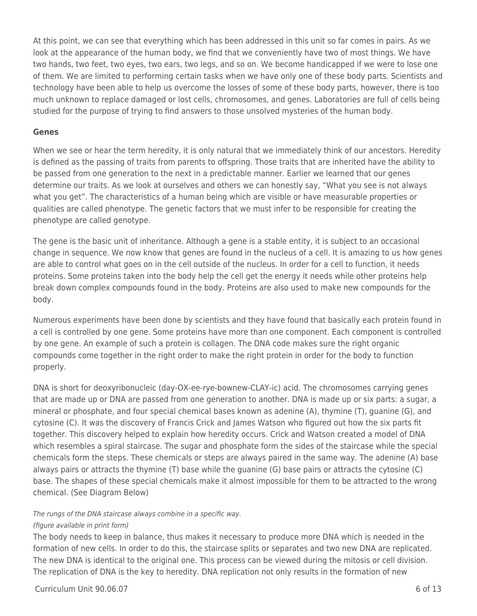At this point, we can see that everything which has been addressed in this unit so far comes in pairs. As we look at the appearance of the human body, we find that we conveniently have two of most things. We have two hands, two feet, two eyes, two ears, two legs, and so on. We become handicapped if we were to lose one of them. We are limited to performing certain tasks when we have only one of these body parts. Scientists and technology have been able to help us overcome the losses of some of these body parts, however, there is too much unknown to replace damaged or lost cells, chromosomes, and genes. Laboratories are full of cells being studied for the purpose of trying to find answers to those unsolved mysteries of the human body.

#### **Genes**

When we see or hear the term heredity, it is only natural that we immediately think of our ancestors. Heredity is defined as the passing of traits from parents to offspring. Those traits that are inherited have the ability to be passed from one generation to the next in a predictable manner. Earlier we learned that our genes determine our traits. As we look at ourselves and others we can honestly say, "What you see is not always what you get". The characteristics of a human being which are visible or have measurable properties or qualities are called phenotype. The genetic factors that we must infer to be responsible for creating the phenotype are called genotype.

The gene is the basic unit of inheritance. Although a gene is a stable entity, it is subject to an occasional change in sequence. We now know that genes are found in the nucleus of a cell. It is amazing to us how genes are able to control what goes on in the cell outside of the nucleus. In order for a cell to function, it needs proteins. Some proteins taken into the body help the cell get the energy it needs while other proteins help break down complex compounds found in the body. Proteins are also used to make new compounds for the body.

Numerous experiments have been done by scientists and they have found that basically each protein found in a cell is controlled by one gene. Some proteins have more than one component. Each component is controlled by one gene. An example of such a protein is collagen. The DNA code makes sure the right organic compounds come together in the right order to make the right protein in order for the body to function properly.

DNA is short for deoxyribonucleic (day-OX-ee-rye-bownew-CLAY-ic) acid. The chromosomes carrying genes that are made up or DNA are passed from one generation to another. DNA is made up or six parts: a sugar, a mineral or phosphate, and four special chemical bases known as adenine (A), thymine (T), guanine (G), and cytosine (C). It was the discovery of Francis Crick and James Watson who figured out how the six parts fit together. This discovery helped to explain how heredity occurs. Crick and Watson created a model of DNA which resembles a spiral staircase. The sugar and phosphate form the sides of the staircase while the special chemicals form the steps. These chemicals or steps are always paired in the same way. The adenine (A) base always pairs or attracts the thymine (T) base while the guanine (G) base pairs or attracts the cytosine (C) base. The shapes of these special chemicals make it almost impossible for them to be attracted to the wrong chemical. (See Diagram Below)

#### The rungs of the DNA staircase always combine in a specific way.

## (figure available in print form)

The body needs to keep in balance, thus makes it necessary to produce more DNA which is needed in the formation of new cells. In order to do this, the staircase splits or separates and two new DNA are replicated. The new DNA is identical to the original one. This process can be viewed during the mitosis or cell division. The replication of DNA is the key to heredity. DNA replication not only results in the formation of new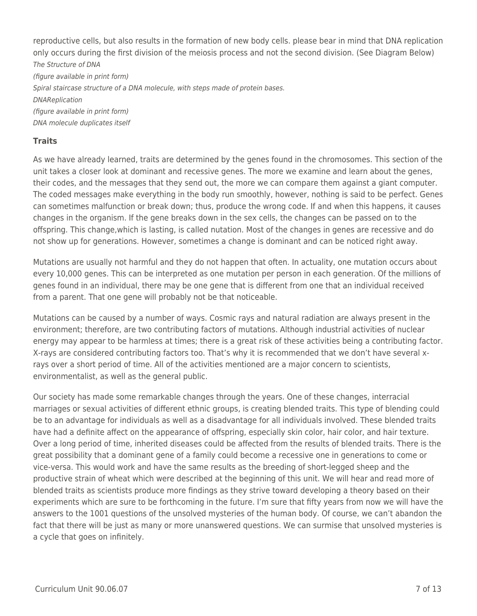reproductive cells, but also results in the formation of new body cells. please bear in mind that DNA replication only occurs during the first division of the meiosis process and not the second division. (See Diagram Below) The Structure of DNA (figure available in print form) Spiral staircase structure of a DNA molecule, with steps made of protein bases. DNAReplication (figure available in print form) DNA molecule duplicates itself

## **Traits**

As we have already learned, traits are determined by the genes found in the chromosomes. This section of the unit takes a closer look at dominant and recessive genes. The more we examine and learn about the genes, their codes, and the messages that they send out, the more we can compare them against a giant computer. The coded messages make everything in the body run smoothly, however, nothing is said to be perfect. Genes can sometimes malfunction or break down; thus, produce the wrong code. If and when this happens, it causes changes in the organism. If the gene breaks down in the sex cells, the changes can be passed on to the offspring. This change,which is lasting, is called nutation. Most of the changes in genes are recessive and do not show up for generations. However, sometimes a change is dominant and can be noticed right away.

Mutations are usually not harmful and they do not happen that often. In actuality, one mutation occurs about every 10,000 genes. This can be interpreted as one mutation per person in each generation. Of the millions of genes found in an individual, there may be one gene that is different from one that an individual received from a parent. That one gene will probably not be that noticeable.

Mutations can be caused by a number of ways. Cosmic rays and natural radiation are always present in the environment; therefore, are two contributing factors of mutations. Although industrial activities of nuclear energy may appear to be harmless at times; there is a great risk of these activities being a contributing factor. X-rays are considered contributing factors too. That's why it is recommended that we don't have several xrays over a short period of time. All of the activities mentioned are a major concern to scientists, environmentalist, as well as the general public.

Our society has made some remarkable changes through the years. One of these changes, interracial marriages or sexual activities of different ethnic groups, is creating blended traits. This type of blending could be to an advantage for individuals as well as a disadvantage for all individuals involved. These blended traits have had a definite affect on the appearance of offspring, especially skin color, hair color, and hair texture. Over a long period of time, inherited diseases could be affected from the results of blended traits. There is the great possibility that a dominant gene of a family could become a recessive one in generations to come or vice-versa. This would work and have the same results as the breeding of short-legged sheep and the productive strain of wheat which were described at the beginning of this unit. We will hear and read more of blended traits as scientists produce more findings as they strive toward developing a theory based on their experiments which are sure to be forthcoming in the future. I'm sure that fifty years from now we will have the answers to the 1001 questions of the unsolved mysteries of the human body. Of course, we can't abandon the fact that there will be just as many or more unanswered questions. We can surmise that unsolved mysteries is a cycle that goes on infinitely.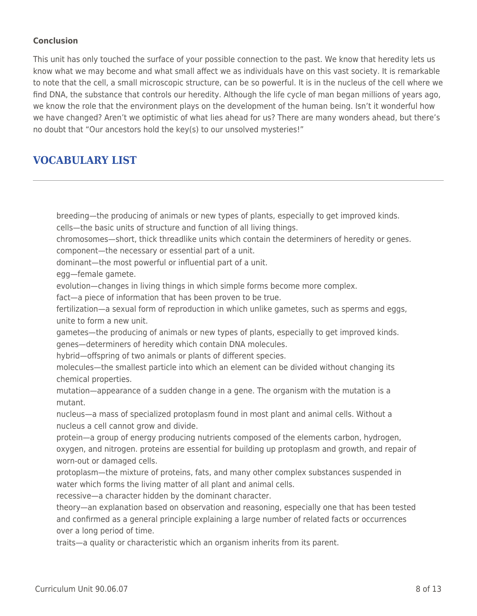## **Conclusion**

This unit has only touched the surface of your possible connection to the past. We know that heredity lets us know what we may become and what small affect we as individuals have on this vast society. It is remarkable to note that the cell, a small microscopic structure, can be so powerful. It is in the nucleus of the cell where we find DNA, the substance that controls our heredity. Although the life cycle of man began millions of years ago, we know the role that the environment plays on the development of the human being. Isn't it wonderful how we have changed? Aren't we optimistic of what lies ahead for us? There are many wonders ahead, but there's no doubt that "Our ancestors hold the key(s) to our unsolved mysteries!"

## **VOCABULARY LIST**

breeding—the producing of animals or new types of plants, especially to get improved kinds. cells—the basic units of structure and function of all living things.

chromosomes—short, thick threadlike units which contain the determiners of heredity or genes. component—the necessary or essential part of a unit.

dominant—the most powerful or influential part of a unit.

egg—female gamete.

evolution—changes in living things in which simple forms become more complex.

fact—a piece of information that has been proven to be true.

fertilization—a sexual form of reproduction in which unlike gametes, such as sperms and eggs, unite to form a new unit.

gametes—the producing of animals or new types of plants, especially to get improved kinds. genes—determiners of heredity which contain DNA molecules.

hybrid—offspring of two animals or plants of different species.

molecules—the smallest particle into which an element can be divided without changing its chemical properties.

mutation—appearance of a sudden change in a gene. The organism with the mutation is a mutant.

nucleus—a mass of specialized protoplasm found in most plant and animal cells. Without a nucleus a cell cannot grow and divide.

protein—a group of energy producing nutrients composed of the elements carbon, hydrogen, oxygen, and nitrogen. proteins are essential for building up protoplasm and growth, and repair of worn-out or damaged cells.

protoplasm—the mixture of proteins, fats, and many other complex substances suspended in water which forms the living matter of all plant and animal cells.

recessive—a character hidden by the dominant character.

theory—an explanation based on observation and reasoning, especially one that has been tested and confirmed as a general principle explaining a large number of related facts or occurrences over a long period of time.

traits—a quality or characteristic which an organism inherits from its parent.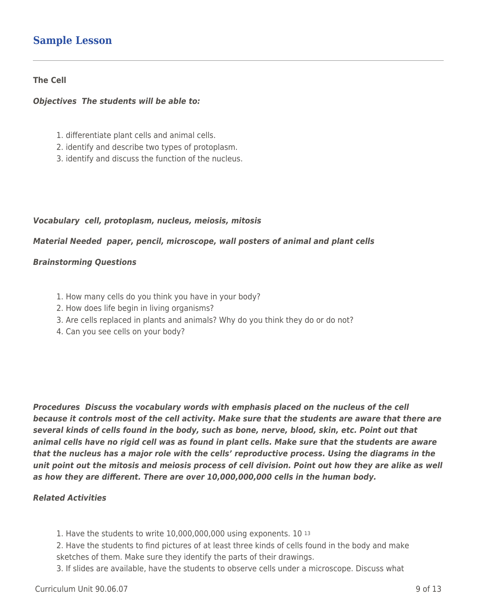## **Sample Lesson**

#### **The Cell**

#### *Objectives The students will be able to:*

- 1. differentiate plant cells and animal cells.
- 2. identify and describe two types of protoplasm.
- 3. identify and discuss the function of the nucleus.

## *Vocabulary cell, protoplasm, nucleus, meiosis, mitosis*

#### *Material Needed paper, pencil, microscope, wall posters of animal and plant cells*

#### *Brainstorming Questions*

- 1. How many cells do you think you have in your body?
- 2. How does life begin in living organisms?
- 3. Are cells replaced in plants and animals? Why do you think they do or do not?
- 4. Can you see cells on your body?

*Procedures Discuss the vocabulary words with emphasis placed on the nucleus of the cell because it controls most of the cell activity. Make sure that the students are aware that there are several kinds of cells found in the body, such as bone, nerve, blood, skin, etc. Point out that animal cells have no rigid cell was as found in plant cells. Make sure that the students are aware that the nucleus has a major role with the cells' reproductive process. Using the diagrams in the unit point out the mitosis and meiosis process of cell division. Point out how they are alike as well as how they are different. There are over 10,000,000,000 cells in the human body.*

## *Related Activities*

1. Have the students to write 10,000,000,000 using exponents. 10 <sup>13</sup>

2. Have the students to find pictures of at least three kinds of cells found in the body and make sketches of them. Make sure they identify the parts of their drawings.

3. If slides are available, have the students to observe cells under a microscope. Discuss what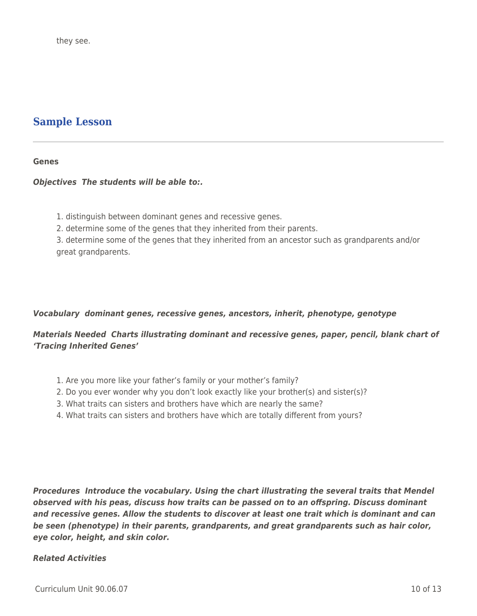## **Sample Lesson**

#### **Genes**

## *Objectives The students will be able to:.*

- 1. distinguish between dominant genes and recessive genes.
- 2. determine some of the genes that they inherited from their parents.

3. determine some of the genes that they inherited from an ancestor such as grandparents and/or great grandparents.

## *Vocabulary dominant genes, recessive genes, ancestors, inherit, phenotype, genotype*

## *Materials Needed Charts illustrating dominant and recessive genes, paper, pencil, blank chart of 'Tracing Inherited Genes'*

- 1. Are you more like your father's family or your mother's family?
- 2. Do you ever wonder why you don't look exactly like your brother(s) and sister(s)?
- 3. What traits can sisters and brothers have which are nearly the same?
- 4. What traits can sisters and brothers have which are totally different from yours?

*Procedures Introduce the vocabulary. Using the chart illustrating the several traits that Mendel observed with his peas, discuss how traits can be passed on to an offspring. Discuss dominant and recessive genes. Allow the students to discover at least one trait which is dominant and can be seen (phenotype) in their parents, grandparents, and great grandparents such as hair color, eye color, height, and skin color.*

## *Related Activities*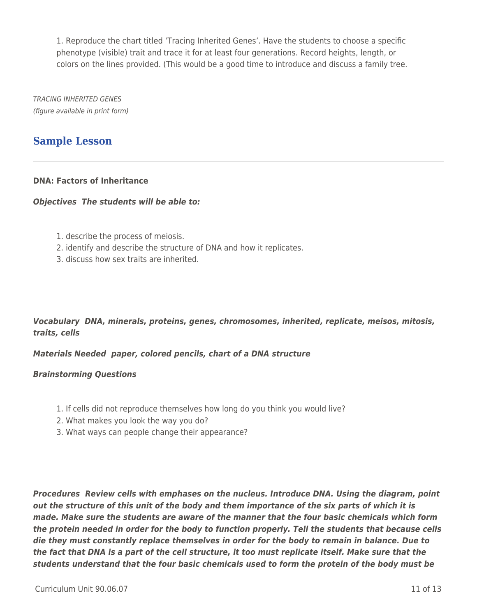1. Reproduce the chart titled 'Tracing Inherited Genes'. Have the students to choose a specific phenotype (visible) trait and trace it for at least four generations. Record heights, length, or colors on the lines provided. (This would be a good time to introduce and discuss a family tree.

TRACING INHERITED GENES (figure available in print form)

## **Sample Lesson**

## **DNA: Factors of Inheritance**

#### *Objectives The students will be able to:*

- 1. describe the process of meiosis.
- 2. identify and describe the structure of DNA and how it replicates.
- 3. discuss how sex traits are inherited.

## *Vocabulary DNA, minerals, proteins, genes, chromosomes, inherited, replicate, meisos, mitosis, traits, cells*

## *Materials Needed paper, colored pencils, chart of a DNA structure*

#### *Brainstorming Questions*

- 1. If cells did not reproduce themselves how long do you think you would live?
- 2. What makes you look the way you do?
- 3. What ways can people change their appearance?

*Procedures Review cells with emphases on the nucleus. Introduce DNA. Using the diagram, point out the structure of this unit of the body and them importance of the six parts of which it is made. Make sure the students are aware of the manner that the four basic chemicals which form the protein needed in order for the body to function properly. Tell the students that because cells die they must constantly replace themselves in order for the body to remain in balance. Due to the fact that DNA is a part of the cell structure, it too must replicate itself. Make sure that the students understand that the four basic chemicals used to form the protein of the body must be*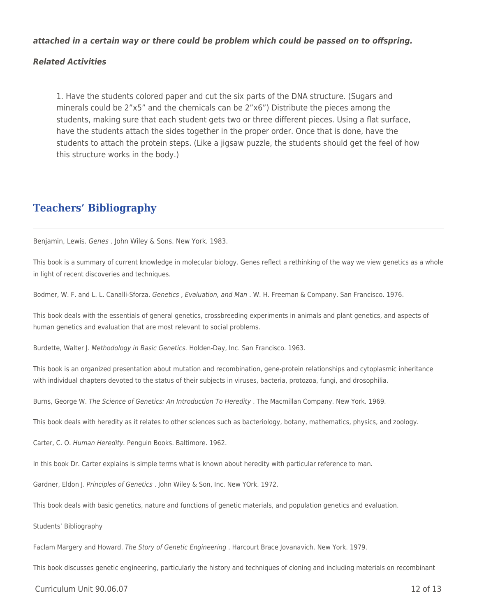#### *attached in a certain way or there could be problem which could be passed on to offspring.*

#### *Related Activities*

1. Have the students colored paper and cut the six parts of the DNA structure. (Sugars and minerals could be 2"x5" and the chemicals can be 2"x6") Distribute the pieces among the students, making sure that each student gets two or three different pieces. Using a flat surface, have the students attach the sides together in the proper order. Once that is done, have the students to attach the protein steps. (Like a jigsaw puzzle, the students should get the feel of how this structure works in the body.)

## **Teachers' Bibliography**

Benjamin, Lewis. Genes . John Wiley & Sons. New York. 1983.

This book is a summary of current knowledge in molecular biology. Genes reflect a rethinking of the way we view genetics as a whole in light of recent discoveries and techniques.

Bodmer, W. F. and L. L. Canalli-Sforza. Genetics , Evaluation, and Man . W. H. Freeman & Company. San Francisco. 1976.

This book deals with the essentials of general genetics, crossbreeding experiments in animals and plant genetics, and aspects of human genetics and evaluation that are most relevant to social problems.

Burdette, Walter J. Methodology in Basic Genetics. Holden-Day, Inc. San Francisco. 1963.

This book is an organized presentation about mutation and recombination, gene-protein relationships and cytoplasmic inheritance with individual chapters devoted to the status of their subjects in viruses, bacteria, protozoa, fungi, and drosophilia.

Burns, George W. The Science of Genetics: An Introduction To Heredity . The Macmillan Company. New York. 1969.

This book deals with heredity as it relates to other sciences such as bacteriology, botany, mathematics, physics, and zoology.

Carter, C. O. Human Heredity. Penguin Books. Baltimore. 1962.

In this book Dr. Carter explains is simple terms what is known about heredity with particular reference to man.

Gardner, Eldon J. Principles of Genetics . John Wiley & Son, Inc. New YOrk. 1972.

This book deals with basic genetics, nature and functions of genetic materials, and population genetics and evaluation.

Students' Bibliography

Faclam Margery and Howard. The Story of Genetic Engineering . Harcourt Brace Jovanavich. New York. 1979.

This book discusses genetic engineering, particularly the history and techniques of cloning and including materials on recombinant

 $C$ urriculum Unit 90.06.07 12 of 13